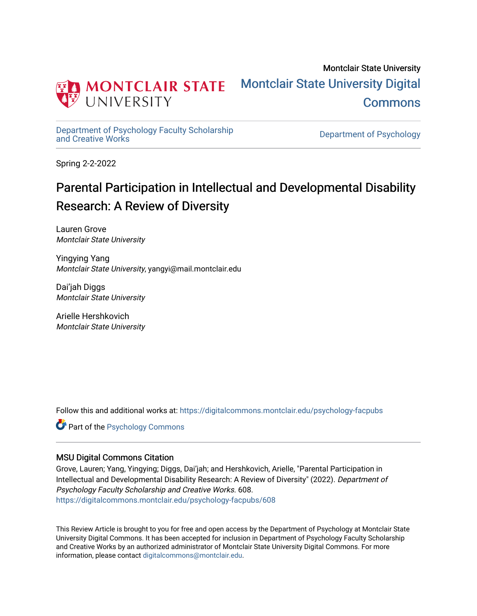

Montclair State University [Montclair State University Digital](https://digitalcommons.montclair.edu/)  **Commons** 

[Department of Psychology Faculty Scholarship](https://digitalcommons.montclair.edu/psychology-facpubs) 

Department of Psychology

Spring 2-2-2022

# Parental Participation in Intellectual and Developmental Disability Research: A Review of Diversity

Lauren Grove Montclair State University

Yingying Yang Montclair State University, yangyi@mail.montclair.edu

Dai'jah Diggs Montclair State University

Arielle Hershkovich Montclair State University

Follow this and additional works at: [https://digitalcommons.montclair.edu/psychology-facpubs](https://digitalcommons.montclair.edu/psychology-facpubs?utm_source=digitalcommons.montclair.edu%2Fpsychology-facpubs%2F608&utm_medium=PDF&utm_campaign=PDFCoverPages) 

**C** Part of the Psychology Commons

### MSU Digital Commons Citation

Grove, Lauren; Yang, Yingying; Diggs, Dai'jah; and Hershkovich, Arielle, "Parental Participation in Intellectual and Developmental Disability Research: A Review of Diversity" (2022). Department of Psychology Faculty Scholarship and Creative Works. 608. [https://digitalcommons.montclair.edu/psychology-facpubs/608](https://digitalcommons.montclair.edu/psychology-facpubs/608?utm_source=digitalcommons.montclair.edu%2Fpsychology-facpubs%2F608&utm_medium=PDF&utm_campaign=PDFCoverPages) 

This Review Article is brought to you for free and open access by the Department of Psychology at Montclair State University Digital Commons. It has been accepted for inclusion in Department of Psychology Faculty Scholarship and Creative Works by an authorized administrator of Montclair State University Digital Commons. For more information, please contact [digitalcommons@montclair.edu](mailto:digitalcommons@montclair.edu).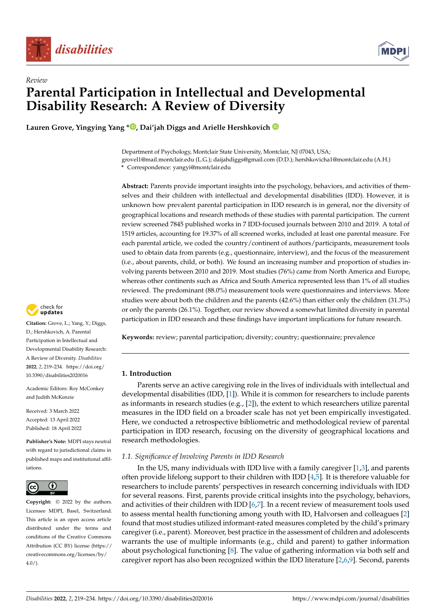

*Review*



# **Parental Participation in Intellectual and Developmental Disability Research: A Review of Diversity**

**Lauren Grove, Yingying Yang [\\*](https://orcid.org/0000-0002-7653-0601) , Dai'jah Diggs and Arielle Hershkovich**

Department of Psychology, Montclair State University, Montclair, NJ 07043, USA; grovel1@mail.montclair.edu (L.G.); daijahdiggs@gmail.com (D.D.); hershkovicha1@montclair.edu (A.H.) **\*** Correspondence: yangyi@montclair.edu

**Abstract:** Parents provide important insights into the psychology, behaviors, and activities of themselves and their children with intellectual and developmental disabilities (IDD). However, it is unknown how prevalent parental participation in IDD research is in general, nor the diversity of geographical locations and research methods of these studies with parental participation. The current review screened 7845 published works in 7 IDD-focused journals between 2010 and 2019. A total of 1519 articles, accounting for 19.37% of all screened works, included at least one parental measure. For each parental article, we coded the country/continent of authors/participants, measurement tools used to obtain data from parents (e.g., questionnaire, interview), and the focus of the measurement (i.e., about parents, child, or both). We found an increasing number and proportion of studies involving parents between 2010 and 2019. Most studies (76%) came from North America and Europe, whereas other continents such as Africa and South America represented less than 1% of all studies reviewed. The predominant (88.0%) measurement tools were questionnaires and interviews. More studies were about both the children and the parents (42.6%) than either only the children (31.3%) or only the parents (26.1%). Together, our review showed a somewhat limited diversity in parental participation in IDD research and these findings have important implications for future research.

**Keywords:** review; parental participation; diversity; country; questionnaire; prevalence

#### **1. Introduction**

Parents serve an active caregiving role in the lives of individuals with intellectual and developmental disabilities (IDD, [\[1\]](#page-15-0)). While it is common for researchers to include parents as informants in research studies (e.g.,  $[2]$ ), the extent to which researchers utilize parental measures in the IDD field on a broader scale has not yet been empirically investigated. Here, we conducted a retrospective bibliometric and methodological review of parental participation in IDD research, focusing on the diversity of geographical locations and research methodologies.

### *1.1. Significance of Involving Parents in IDD Research*

In the US, many individuals with IDD live with a family caregiver [\[1,](#page-15-0)[3\]](#page-15-2), and parents often provide lifelong support to their children with IDD [\[4](#page-15-3)[,5\]](#page-15-4). It is therefore valuable for researchers to include parents' perspectives in research concerning individuals with IDD for several reasons. First, parents provide critical insights into the psychology, behaviors, and activities of their children with IDD  $[6,7]$  $[6,7]$ . In a recent review of measurement tools used to assess mental health functioning among youth with ID, Halvorsen and colleagues [\[2\]](#page-15-1) found that most studies utilized informant-rated measures completed by the child's primary caregiver (i.e., parent). Moreover, best practice in the assessment of children and adolescents warrants the use of multiple informants (e.g., child and parent) to gather information about psychological functioning [\[8\]](#page-15-7). The value of gathering information via both self and caregiver report has also been recognized within the IDD literature [\[2,](#page-15-1)[6,](#page-15-5)[9\]](#page-15-8). Second, parents



**Citation:** Grove, L.; Yang, Y.; Diggs, D.; Hershkovich, A. Parental Participation in Intellectual and Developmental Disability Research: A Review of Diversity. *Disabilities* **2022**, *2*, 219–234. [https://doi.org/](https://doi.org/10.3390/disabilities2020016) [10.3390/disabilities2020016](https://doi.org/10.3390/disabilities2020016)

Academic Editors: Roy McConkey and Judith McKenzie

Received: 3 March 2022 Accepted: 13 April 2022 Published: 18 April 2022

**Publisher's Note:** MDPI stays neutral with regard to jurisdictional claims in published maps and institutional affiliations.



**Copyright:** © 2022 by the authors. Licensee MDPI, Basel, Switzerland. This article is an open access article distributed under the terms and conditions of the Creative Commons Attribution (CC BY) license [\(https://](https://creativecommons.org/licenses/by/4.0/) [creativecommons.org/licenses/by/](https://creativecommons.org/licenses/by/4.0/)  $4.0/$ ).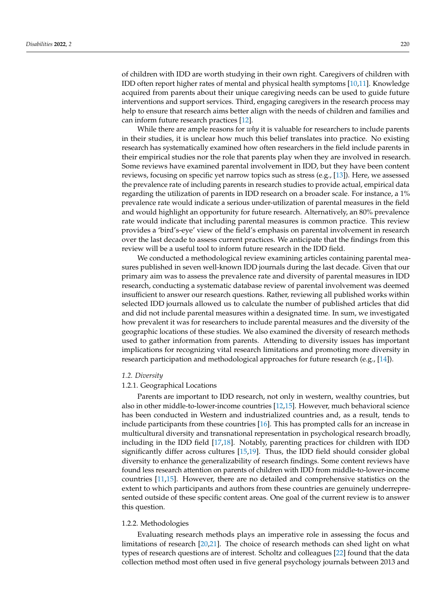of children with IDD are worth studying in their own right. Caregivers of children with IDD often report higher rates of mental and physical health symptoms [\[10](#page-15-9)[,11\]](#page-15-10). Knowledge acquired from parents about their unique caregiving needs can be used to guide future interventions and support services. Third, engaging caregivers in the research process may help to ensure that research aims better align with the needs of children and families and can inform future research practices [\[12\]](#page-15-11).

While there are ample reasons for *why* it is valuable for researchers to include parents in their studies, it is unclear how much this belief translates into practice. No existing research has systematically examined how often researchers in the field include parents in their empirical studies nor the role that parents play when they are involved in research. Some reviews have examined parental involvement in IDD, but they have been content reviews, focusing on specific yet narrow topics such as stress (e.g., [\[13\]](#page-15-12)). Here, we assessed the prevalence rate of including parents in research studies to provide actual, empirical data regarding the utilization of parents in IDD research on a broader scale. For instance, a 1% prevalence rate would indicate a serious under-utilization of parental measures in the field and would highlight an opportunity for future research. Alternatively, an 80% prevalence rate would indicate that including parental measures is common practice. This review provides a 'bird's-eye' view of the field's emphasis on parental involvement in research over the last decade to assess current practices. We anticipate that the findings from this review will be a useful tool to inform future research in the IDD field.

We conducted a methodological review examining articles containing parental measures published in seven well-known IDD journals during the last decade. Given that our primary aim was to assess the prevalence rate and diversity of parental measures in IDD research, conducting a systematic database review of parental involvement was deemed insufficient to answer our research questions. Rather, reviewing all published works within selected IDD journals allowed us to calculate the number of published articles that did and did not include parental measures within a designated time. In sum, we investigated how prevalent it was for researchers to include parental measures and the diversity of the geographic locations of these studies. We also examined the diversity of research methods used to gather information from parents. Attending to diversity issues has important implications for recognizing vital research limitations and promoting more diversity in research participation and methodological approaches for future research (e.g., [\[14\]](#page-15-13)).

#### *1.2. Diversity*

#### 1.2.1. Geographical Locations

Parents are important to IDD research, not only in western, wealthy countries, but also in other middle-to-lower-income countries [\[12,](#page-15-11)[15\]](#page-15-14). However, much behavioral science has been conducted in Western and industrialized countries and, as a result, tends to include participants from these countries [\[16\]](#page-16-0). This has prompted calls for an increase in multicultural diversity and transnational representation in psychological research broadly, including in the IDD field [\[17,](#page-16-1)[18\]](#page-16-2). Notably, parenting practices for children with IDD significantly differ across cultures [\[15](#page-15-14)[,19\]](#page-16-3). Thus, the IDD field should consider global diversity to enhance the generalizability of research findings. Some content reviews have found less research attention on parents of children with IDD from middle-to-lower-income countries [\[11](#page-15-10)[,15\]](#page-15-14). However, there are no detailed and comprehensive statistics on the extent to which participants and authors from these countries are genuinely underrepresented outside of these specific content areas. One goal of the current review is to answer this question.

#### 1.2.2. Methodologies

Evaluating research methods plays an imperative role in assessing the focus and limitations of research [\[20](#page-16-4)[,21\]](#page-16-5). The choice of research methods can shed light on what types of research questions are of interest. Scholtz and colleagues [\[22\]](#page-16-6) found that the data collection method most often used in five general psychology journals between 2013 and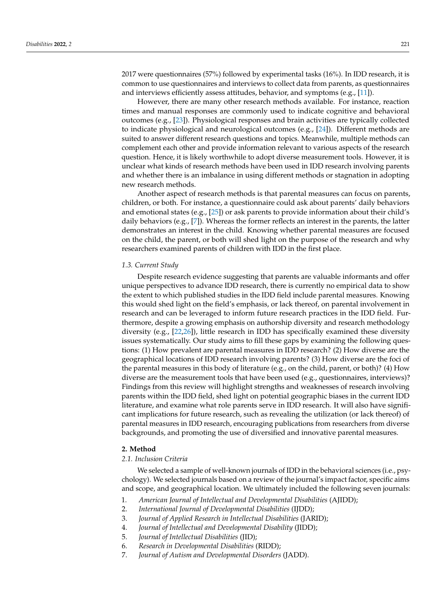2017 were questionnaires (57%) followed by experimental tasks (16%). In IDD research, it is common to use questionnaires and interviews to collect data from parents, as questionnaires and interviews efficiently assess attitudes, behavior, and symptoms (e.g., [\[11\]](#page-15-10)).

However, there are many other research methods available. For instance, reaction times and manual responses are commonly used to indicate cognitive and behavioral outcomes (e.g., [\[23\]](#page-16-7)). Physiological responses and brain activities are typically collected to indicate physiological and neurological outcomes (e.g., [\[24\]](#page-16-8)). Different methods are suited to answer different research questions and topics. Meanwhile, multiple methods can complement each other and provide information relevant to various aspects of the research question. Hence, it is likely worthwhile to adopt diverse measurement tools. However, it is unclear what kinds of research methods have been used in IDD research involving parents and whether there is an imbalance in using different methods or stagnation in adopting new research methods.

Another aspect of research methods is that parental measures can focus on parents, children, or both. For instance, a questionnaire could ask about parents' daily behaviors and emotional states (e.g.,  $[25]$ ) or ask parents to provide information about their child's daily behaviors (e.g., [\[7\]](#page-15-6)). Whereas the former reflects an interest in the parents, the latter demonstrates an interest in the child. Knowing whether parental measures are focused on the child, the parent, or both will shed light on the purpose of the research and why researchers examined parents of children with IDD in the first place.

#### *1.3. Current Study*

Despite research evidence suggesting that parents are valuable informants and offer unique perspectives to advance IDD research, there is currently no empirical data to show the extent to which published studies in the IDD field include parental measures. Knowing this would shed light on the field's emphasis, or lack thereof, on parental involvement in research and can be leveraged to inform future research practices in the IDD field. Furthermore, despite a growing emphasis on authorship diversity and research methodology diversity (e.g., [\[22,](#page-16-6)[26\]](#page-16-10)), little research in IDD has specifically examined these diversity issues systematically. Our study aims to fill these gaps by examining the following questions: (1) How prevalent are parental measures in IDD research? (2) How diverse are the geographical locations of IDD research involving parents? (3) How diverse are the foci of the parental measures in this body of literature (e.g., on the child, parent, or both)? (4) How diverse are the measurement tools that have been used (e.g., questionnaires, interviews)? Findings from this review will highlight strengths and weaknesses of research involving parents within the IDD field, shed light on potential geographic biases in the current IDD literature, and examine what role parents serve in IDD research. It will also have significant implications for future research, such as revealing the utilization (or lack thereof) of parental measures in IDD research, encouraging publications from researchers from diverse backgrounds, and promoting the use of diversified and innovative parental measures.

#### **2. Method**

#### *2.1. Inclusion Criteria*

We selected a sample of well-known journals of IDD in the behavioral sciences (i.e., psychology). We selected journals based on a review of the journal's impact factor, specific aims and scope, and geographical location. We ultimately included the following seven journals:

- 1. *American Journal of Intellectual and Developmental Disabilities* (AJIDD);
- 2. *International Journal of Developmental Disabilities* (IJDD);
- 3. *Journal of Applied Research in Intellectual Disabilities* (JARID);
- 4. *Journal of Intellectual and Developmental Disability* (JIDD);
- 5. *Journal of Intellectual Disabilities* (JID);
- 6. *Research in Developmental Disabilities* (RIDD);
- 7. *Journal of Autism and Developmental Disorders* (JADD).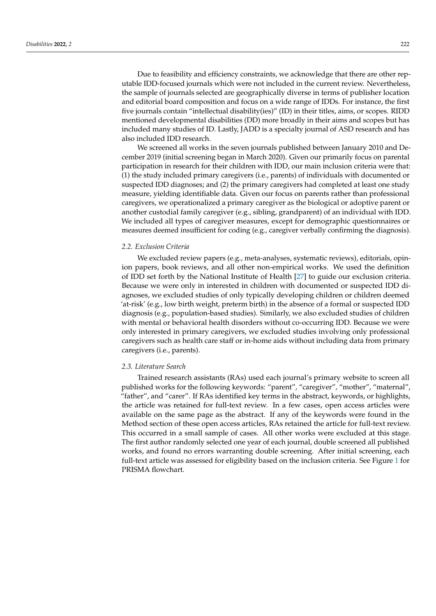Due to feasibility and efficiency constraints, we acknowledge that there are other reputable IDD-focused journals which were not included in the current review. Nevertheless, the sample of journals selected are geographically diverse in terms of publisher location and editorial board composition and focus on a wide range of IDDs. For instance, the first five journals contain "intellectual disability(ies)" (ID) in their titles, aims, or scopes. RIDD mentioned developmental disabilities (DD) more broadly in their aims and scopes but has included many studies of ID. Lastly, JADD is a specialty journal of ASD research and has also included IDD research.

We screened all works in the seven journals published between January 2010 and December 2019 (initial screening began in March 2020). Given our primarily focus on parental participation in research for their children with IDD, our main inclusion criteria were that: (1) the study included primary caregivers (i.e., parents) of individuals with documented or suspected IDD diagnoses; and (2) the primary caregivers had completed at least one study measure, yielding identifiable data. Given our focus on parents rather than professional caregivers, we operationalized a primary caregiver as the biological or adoptive parent or another custodial family caregiver (e.g., sibling, grandparent) of an individual with IDD. We included all types of caregiver measures, except for demographic questionnaires or measures deemed insufficient for coding (e.g., caregiver verbally confirming the diagnosis).

#### *2.2. Exclusion Criteria*

We excluded review papers (e.g., meta-analyses, systematic reviews), editorials, opinion papers, book reviews, and all other non-empirical works. We used the definition of IDD set forth by the National Institute of Health [\[27\]](#page-16-11) to guide our exclusion criteria. Because we were only in interested in children with documented or suspected IDD diagnoses, we excluded studies of only typically developing children or children deemed 'at-risk' (e.g., low birth weight, preterm birth) in the absence of a formal or suspected IDD diagnosis (e.g., population-based studies). Similarly, we also excluded studies of children with mental or behavioral health disorders without co-occurring IDD. Because we were only interested in primary caregivers, we excluded studies involving only professional caregivers such as health care staff or in-home aids without including data from primary caregivers (i.e., parents).

#### *2.3. Literature Search*

Trained research assistants (RAs) used each journal's primary website to screen all published works for the following keywords: "parent", "caregiver", "mother", "maternal", "father", and "carer". If RAs identified key terms in the abstract, keywords, or highlights, the article was retained for full-text review. In a few cases, open access articles were available on the same page as the abstract. If any of the keywords were found in the Method section of these open access articles, RAs retained the article for full-text review. This occurred in a small sample of cases. All other works were excluded at this stage. The first author randomly selected one year of each journal, double screened all published works, and found no errors warranting double screening. After initial screening, each full-text article was assessed for eligibility based on the inclusion criteria. See Figure [1](#page-5-0) for PRISMA flowchart.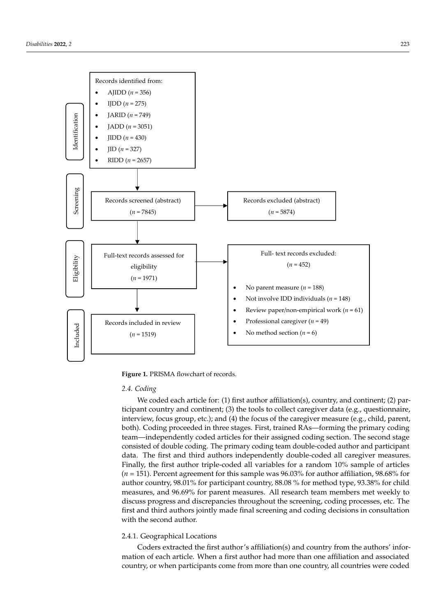<span id="page-5-0"></span>

**Figure 1.** PRISMA flowchart of records. **Figure 1.** PRISMA flowchart of records.

#### *2.4. Coding 2.4. Coding*

We coded each article for: (1) first author affiliation(s), country, and continent; (2) We coded each article for: (1) first author affiliation(s), country, and continent; (2) participant country and continent; (3) the tools to collect caregiver data (e.g., questionnaire, interview, focus group, etc.); and (4) the focus of the caregiver measure (e.g., child, parent, in the caregiver measure (e.g., child, parent, both). Coding proceeded in three stages. First, trained RAs—forming the primary coding team—independently coded articles for their assigned coding section. The second stage consisted of double coding. The primary coding team double-coded author and participant data. The first and third authors independently double-coded all caregiver measures. Finally, the first author triple-coded all variables for a random 10% sample of articles  $(n = 151)$ . Percent agreement for this sample was  $96.03\%$  for author affiliation,  $98.68\%$  for 98.68% for author country, 98.01% for participant country, 88.08 % for method type, author country, 98.01% for participant country, 88.08 % for method type, 93.38% for child 93.38% for child measures, and 96.69% for parent measures. All research team members measures, and 96.69% for parent measures. All research team members met weekly to discuss progress and discrepancies throughout the screening, coding processes, etc. The first and third authors jointly made final screening and coding decisions in consultation with the second author.

#### 2.4.1. Geographical Locations 2.4.1. Geographical Locations

Coders extracted the first author's affiliation(s) and country from the authors' infor-Coders extracted the first author's affiliation(s) and country from the authors' information of each article. When a first author had more than one affiliation and associated mation of each article. When a first author had more than one affiliation and associated country, or when participants come from more than one country, all countries were coded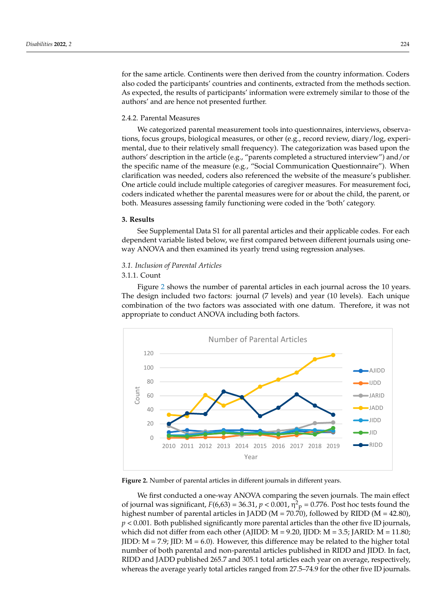for the same article. Continents were then derived from the country information. Coders also coded the participants' countries and continents, extracted from the methods section. As expected, the results of participants' information were extremely similar to those of the authors' and are hence not presented further.

#### 2.4.2. Parental Measures we categorize parameters into  $q$  into  $q$  into  $q$  into  $q$  into  $q$  into  $q$  into  $q$  interviews, observed interviews, observed in  $q$

We categorized parental measurement tools into questionnaires, interviews, observations, focus groups, biological measures, or other (e.g., record review, diary/log, experimental, due to their relatively small frequency). The categorization was based upon the authors' description in the article (e.g., "parents completed a structured interview") and/or the specific name of the measure (e.g., "Social Communication Questionnaire"). When clarification was needed, coders also referenced the website of the measure's publisher. One article could include multiple categories of caregiver measures. For measurement foci, coders indicated whether the parental measures were for or about the child, the parent, or both. Measures assessing family functioning were coded in the 'both' category.

## **3. Results 3. Results**

See Supplemental Data S1 for all parental articles and their applicable codes. For each See Supplemental Data S1 for all parental articles and their applicable codes. For each dependent variable listed below, we first compared between different journals using one-dependent variable listed below, we first compared between different journals using oneway ANOVA and then examined its yearly trend using regression analyses. way ANOVA and then examined its yearly trend using regression analyses.

### *3.1. Inclusion of Parental Articles 3.1. Inclusion of Parental Articles*

#### 3.1.1. Count 3.1.1. Count

Figure 2 shows the number of parental articles in each journal across the 10 years. Figure [2](#page-6-0) shows the number of parental articles in each journal across the 10 years. The design included two factors: journal (7 levels) and year (10 levels). Each unique The design included two factors: journal (7 levels) and year (10 levels). Each unique comcombination of the two factors was associated with one datum. Therefore, it was not appropriate to conduct ANOVA including both factors. priate to conduct ANOVA including both factors.

<span id="page-6-0"></span>

**Figure 2.** Number of parental articles in different journals in different years. **Figure 2.** Number of parental articles in different journals in different years.

We first conducted a one-way ANOVA comparing the seven journals. The main effect of journal was significant,  $F(6,63) = 36.31$ ,  $p < 0.001$ ,  $\eta^2$ <sub>p</sub> = 0.776. Post hoc tests found the highest number of parental articles in JADD ( $M = 70.70$ ), followed by RIDD ( $M = 42.80$ ), *p* < 0.001. Both published significantly more parental articles than the other five ID journals, which did not differ from each other (AJIDD:  $M = 9.20$ , IJDD:  $M = 3.5$ ; JARID:  $M = 11.80$ ; JIDD:  $M = 7.9$ ; JID:  $M = 6.0$ ). However, this difference may be related to the higher total number of both parental and non-parental articles published in RIDD and JIDD. In fact,<br>RIDD. 111 RD. 111 11265.5 RIDD and JADD published 265.7 and 305.1 total articles each year on average, respectively,<br> whereas the average yearly total articles ranged from 27.5–74.9 for the other five ID journals.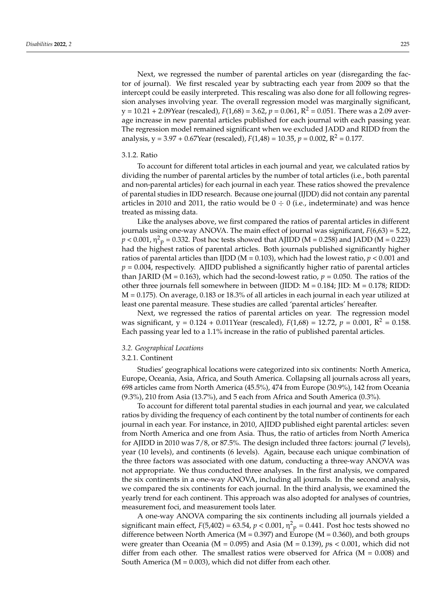Next, we regressed the number of parental articles on year (disregarding the factor of journal). We first rescaled year by subtracting each year from 2009 so that the intercept could be easily interpreted. This rescaling was also done for all following regression analyses involving year. The overall regression model was marginally significant,  $y = 10.21 + 2.09$ Year (rescaled),  $F(1,68) = 3.62$ ,  $p = 0.061$ ,  $R^2 = 0.051$ . There was a 2.09 average increase in new parental articles published for each journal with each passing year. The regression model remained significant when we excluded JADD and RIDD from the analysis,  $y = 3.97 + 0.67$ Year (rescaled),  $F(1,48) = 10.35$ ,  $p = 0.002$ ,  $R^2 = 0.177$ .

#### 3.1.2. Ratio

To account for different total articles in each journal and year, we calculated ratios by dividing the number of parental articles by the number of total articles (i.e., both parental and non-parental articles) for each journal in each year. These ratios showed the prevalence of parental studies in IDD research. Because one journal (IJDD) did not contain any parental articles in 2010 and 2011, the ratio would be  $0 \div 0$  (i.e., indeterminate) and was hence treated as missing data.

Like the analyses above, we first compared the ratios of parental articles in different journals using one-way ANOVA. The main effect of journal was significant, *F*(6,63) = 5.22,  $p$  < 0.001, η<sup>2</sup><sub>p</sub> = 0.332. Post hoc tests showed that AJIDD (M = 0.258) and JADD (M = 0.223) had the highest ratios of parental articles. Both journals published significantly higher ratios of parental articles than IJDD (M = 0.103), which had the lowest ratio, *p* < 0.001 and  $p = 0.004$ , respectively. AJIDD published a significantly higher ratio of parental articles than JARID (M = 0.163), which had the second-lowest ratio,  $p = 0.050$ . The ratios of the other three journals fell somewhere in between (JIDD: M = 0.184; JID: M = 0.178; RIDD: M = 0.175). On average, 0.183 or 18.3% of all articles in each journal in each year utilized at least one parental measure. These studies are called 'parental articles' hereafter.

Next, we regressed the ratios of parental articles on year. The regression model was significant,  $y = 0.124 + 0.011$ Year (rescaled),  $F(1,68) = 12.72$ ,  $p = 0.001$ ,  $R^2 = 0.158$ . Each passing year led to a 1.1% increase in the ratio of published parental articles.

#### *3.2. Geographical Locations*

#### 3.2.1. Continent

Studies' geographical locations were categorized into six continents: North America, Europe, Oceania, Asia, Africa, and South America. Collapsing all journals across all years, 698 articles came from North America (45.5%), 474 from Europe (30.9%), 142 from Oceania (9.3%), 210 from Asia (13.7%), and 5 each from Africa and South America (0.3%).

To account for different total parental studies in each journal and year, we calculated ratios by dividing the frequency of each continent by the total number of continents for each journal in each year. For instance, in 2010, AJIDD published eight parental articles: seven from North America and one from Asia. Thus, the ratio of articles from North America for AJIDD in 2010 was 7/8, or 87.5%. The design included three factors: journal (7 levels), year (10 levels), and continents (6 levels). Again, because each unique combination of the three factors was associated with one datum, conducting a three-way ANOVA was not appropriate. We thus conducted three analyses. In the first analysis, we compared the six continents in a one-way ANOVA, including all journals. In the second analysis, we compared the six continents for each journal. In the third analysis, we examined the yearly trend for each continent. This approach was also adopted for analyses of countries, measurement foci, and measurement tools later.

A one-way ANOVA comparing the six continents including all journals yielded a significant main effect,  $F(5,402) = 63.54$ ,  $p < 0.001$ ,  $\eta^2$ <sub>p</sub> = 0.441. Post hoc tests showed no difference between North America ( $M = 0.397$ ) and Europe ( $M = 0.360$ ), and both groups were greater than Oceania (M = 0.095) and Asia (M = 0.139), *p*s < 0.001, which did not differ from each other. The smallest ratios were observed for Africa  $(M = 0.008)$  and South America ( $M = 0.003$ ), which did not differ from each other.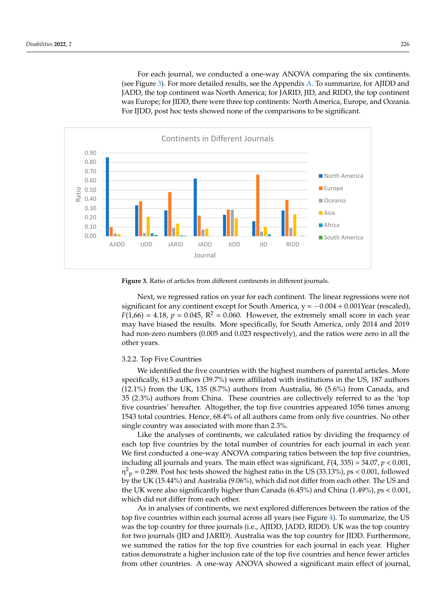<span id="page-8-0"></span>For each journal, we conducted a one-way ANOVA comparing the six continents. (see Figure [3\)](#page-8-0). For more detailed results, see the Appendix [A.](#page-14-0) To summarize, for AJIDD and (see Figure 3). For more detailed results, see the Appendix A. To summarize, for AJIDD JADD, the top continent was North America; for JARID, JID, and RIDD, the top continent was Europe; for JIDD, there were three top continents: North America, Europe, and Oceania.<br>E For IJDD, post hoc tests showed none of the comparisons to be significant. ica (M = 0.003), which did not differ from each other.



**Figure 3.** Ratio of articles from different continents in different journals. **Figure 3.** Ratio of articles from different continents in different journals.

Next, we regressed ratios on year for each continent. The linear regressions were not Next, we regressed ratios on year for each continent. The linear regressions were not significant for any continent except for South America, y = -0.004 + 0.001Year (rescaled),  $F(1,66) = 4.18$ ,  $p = 0.045$ ,  $R^2 = 0.060$ . However, the extremely small score in each year may have biased the results. More specifically, for South America, only 2014 and 2019 had non-zero numbers (0.005 and 0.023 respectively), and the ratios were zero in all the other years.

#### $W_{\text{H}}$  is the countries with the highest numbers of parameters of parameters of parameters. More countries. 3.2.2. Top Five Countries

We identified the five countries with the highest numbers of parental articles. More specifically, 613 authors (39.7%) were affiliated with institutions in the US, 187 authors  $(12.1\%)$  from the UK, 135  $(8.7\%)$  authors from Australia, 86  $(5.6\%)$  from Canada, and 35 (2.3%) authors from China. These countries are collectively referred to as the 'top five countries' hereafter. Altogether, the top five countries appeared 1056 times among 1543 total countries. Hence, 68.4% of all authors came from only five countries. No other single country was associated with more than 2.3%.<br>Single country was associated with more than 2.3%.

Like the analyses of continents, we calculated ratios by dividing the frequency of each top five countries by the total number of countries for each journal in each year.<br>We can contribute the total number of countries for each journal in each year. We first conducted a one-way ANOVA comparing ratios between the top five countries,<br> $\frac{1}{2}$ including all journals and years. The main effect was significant,  $F(4, 335) = 34.07$ ,  $p < 0.001$ ,  $p > 0.001$ ,  $p > 0.001$ ,  $p > 0.001$ ,  $p > 0.001$ ,  $p > 0.001$ ,  $p > 0.001$ ,  $p > 0.001$ ,  $p > 0.001$ ,  $p > 0.001$ ,  $p > 0.001$ ,  $p$  $\eta^2$ <sub>p</sub> = 0.289. Post hoc tests showed the highest ratio in the US (33.13%), *ps* < 0.001, followed by the UK (15.44%) and Australia (9.06%), which did not differ from each other. The US and<br>the UK were also significantly higher than Canada (6.45%) and China (1.49%), *pp* < 0.001 which did not differ from each other. which did not differ from each other. the UK were also significantly higher than Canada (6.45%) and China (1.49%), *p*s < 0.001,

As in analyses of continents, we next explored differences between the ratios of the As in analyses of continents, we next explored differences between the ratios of the top five countries within each journal across all years (see Figure 4). To summarize, the top five countries within each journal across all years (see Figure [4\)](#page-9-0). To summarize, the US US was the top country for three journals (i.e., AJIDD, JADD, RIDD). UK was the top was the top country for three journals (i.e., AJIDD, JADD, RIDD). UK was the top country country for two journals (JID and JARID). Australia was the top country for JIDD. Fur-for two journals (JID and JARID). Australia was the top country for JIDD. Furthermore,  $t_{\rm eff}$  is the system of the top five countries for each journal in each year. Higher we summed the ratios for the top five countries for each journal in each year. Higher ratios demonstrate a higher inclusion rate of the top five countries and hence fewer articles from other countries. A one-way ANOVA showed a significant main effect of journal,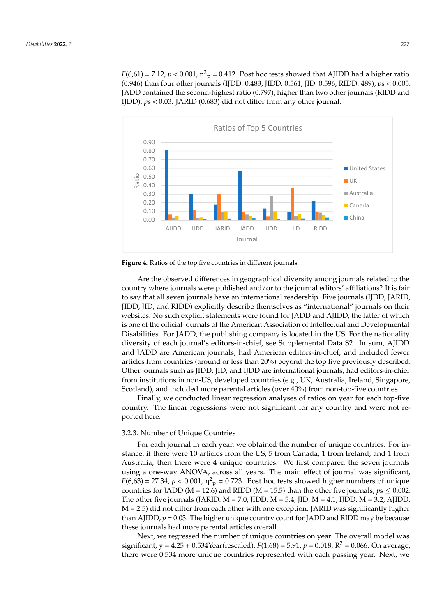$F(6,61) = 7.12$ ,  $p < 0.001$ ,  $\eta^2$ <sub>p</sub> = 0.412. Post hoc tests showed that AJIDD had a higher ratio (0.946) than four other journals (IJDD: 0.483; JIDD: 0.561; JID: 0.596, RIDD: 489), *ps* < 0.005. JADD contained the second-highest ratio (0.797), higher than two other journals (RIDD and IJDD), *ps <* 0.03. JARID (0.683) did not differ from any other journal. articles from other countries. A one-way ANOVA showed a significant main effect of jour-

<span id="page-9-0"></span>

**Figure 4.** Ratios of the top five countries in different journals. **Figure 4.** Ratios of the top five countries in different journals.

Are the observed differences in geographical diversity among journals related to the Are the observed differences in geographical diversity among journals related to the country where journals were published and/or to the journal editors' affiliations? It is fair country where journals were published and/or to the journal editors' affiliations? It is fair to say that all seven journals have an international readership. Five journals (IJDD, JARID, to say that all seven journals have an international readership. Five journals (IJDD, JARID, JIDD, JID, and RIDD) explicitly describe themselves as "international" journals on their JIDD, JID, and RIDD) explicitly describe themselves as "international" journals on their websites. No such explicit statements were found for JADD and AJIDD, the latter of which websites. No such explicit statements were found for JADD and AJIDD, the latter of which is one of the official journals of the American Association of Intellectual and Developmental Disabilities. For JADD, the publishing company is located in the US. For the nationality diversity of each journal's editors-in-chief, see Supplemental Data S2. In sum, AJIDD and JADD are American journals, had American editors-in-chief, and included fewer articles from countries (around or less than 20%) beyond the top five previously described. Other journals such as JIDD, JID, and IJDD are international journals, had editors-in-chief from institutions in non-US, developed countries (e.g., UK, Australia, Ireland, Singapore, land), and included more parental articles (over 40%) from non-top-five countries. Scotland), and included more parental articles (over 40%) from non-top-five countries.

Finally, we conducted linear regression analyses of ratios on year for each top-five Finally, we conducted linear regression analyses of ratios on year for each top-five country. The linear regressions were not significant for any country and were not reported here.

# 3.2.3. Number of Unique Countries 3.2.3. Number of Unique Countries

stance, if there were 10 articles from the US, 5 from Canada, 1 from Ireland, and 1 from Australia, then there were 4 unique countries. We first compared the seven journals using a one-way ANOVA, across all years. The main effect of journal was significant,  $F(6,63) = 27.34$ ,  $p < 0.001$ ,  $\eta^2$ <sub>p</sub> = 0.723. Post hoc tests showed higher numbers of unique countries for JADD (M = 12.6) and RIDD (M = 15.5) than the other five journals,  $p_s \le 0.002$ . The other five journals (JARID:  $M = 7.0$ ; JIDD:  $M = 5.4$ ; JID:  $M = 4.1$ ; IJDD:  $M = 3.2$ ; AJIDD:  $M = 2.5$ ) did not differ from each other with one exception: JARID was significantly higher than AJIDD,  $p = 0.03$ . The higher unique country count for JADD and RIDD may be because these journals had more parental articles overall. For each journal in each year, we obtained the number of unique countries. For in-

Next, we regressed the number of unique countries on year. The overall model was significant, y =  $4.25 + 0.534$ Year(rescaled), *F*(1,68) = 5.91, *p* = 0.018, R<sup>2</sup> = 0.066. On average, there were 0.534 more unique countries represented with each passing year. Next, we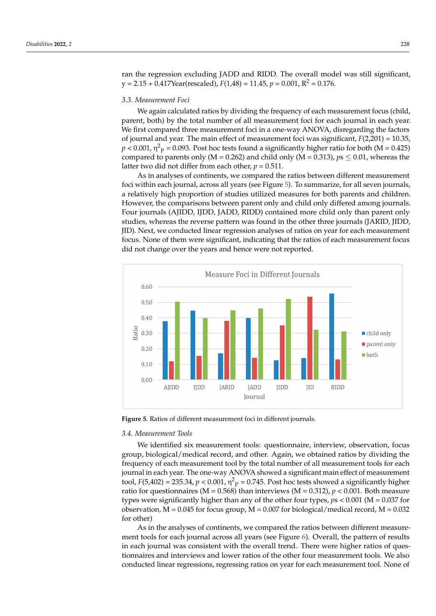ran the regression excluding JADD and RIDD. The overall model was still significant,  $y = 2.15 + 0.417$ Year(rescaled),  $F(1,48) = 11.45$ ,  $p = 0.001$ ,  $R^2 = 0.176$ .

#### *3.3. Measurement Foci 3.3. Measurement Foci*

We again calculated ratios by dividing the frequency of each measurement focus (child, parent, both) by the total number of all measurement foci for each journal in each year. We first compared three measurement foci in a one-way ANOVA, disregarding the factors of journal and year. The main effect of measurement foci was significant, *F*(2,201) = 10.35, of journal and year. The main effect of measurement foci was significant,  $F(2,201) = 10.35$ ,  $p < 0.001$ ,  $\eta^2$ <sub>p</sub> = 0.093. Post hoc tests found a significantly higher ratio for both (M = 0.425) compared to parents only ( $M = 0.262$ ) and child only ( $M = 0.313$ ),  $ps \leq 0.01$ , whereas the latter two did not differ from each other,  $p = 0.511$ .

As in analyses of continents, we compared the ratios between different measurement As in analyses of continents, we compared the ratios between different measurement foci within each journal, across all years (see Fig[ure](#page-10-0) 5). To summarize, for all seven journals, a relatively high proportion of studies utilized measures for both parents and children. However, the comparisons between parent only and child only differed among journals. Four journals (AJIDD, IJDD, JADD, RIDD) contained more child only than parent only studies, whereas the reverse pattern was found in the other three journals (JARID, JIDD, JID). Next, we conducted linear regression analyses of ratios on year for each measurement focus. None of them were significant, indicating that the ratios of each measurement focus did not change over the years and hence were not reported.

<span id="page-10-0"></span>

**Figure 5.** Ratios of different measurement foci in different journals. **Figure 5.** Ratios of different measurement foci in different journals.

### *3.4. Measurement Tools 3.4. Measurement Tools*

We identified six measurement tools: questionnaire, interview, observation, focus We identified six measurement tools: questionnaire, interview, observation, focus group, biological/medical record, and other. Again, we obtained ratios by dividing the group, biological/medical record, and other. Again, we obtained ratios by dividing the frequency of each measurement tool by the total number of all measurement tools for each frequency of each measurement tool by the total number of all measurement tools for each journal in each year. The one-way ANOVA showed a significant main effect of measurement tool,  $F(5,402) = 235.34$ ,  $p < 0.001$ ,  $\eta^2$ <sub>p</sub> = 0.745. Post hoc tests showed a significantly higher ratio for questionnaires (M = 0.568) than interviews (M = 0.312),  $p < 0.001$ . Both measure types were significantly higher than any of the other four types,  $p s < 0.001$  (M = 0.037 for observation,  $M = 0.045$  for focus group,  $M = 0.007$  for biological/medical record,  $M = 0.032$  $\frac{1}{2}$  or other) for other)

As in the analyses of continents, we compared the ratios between different measure-As in the analyses of continents, we compared the ratios between different measure-ment tools for each journal across all years (see Figure [6\)](#page-11-0). Overall, the pattern of results in the pattern of results in each journal was consistent with the overall trend. There were higher ratios of questionnaires and interviews and lower ratios of the other four measurement tools. We also the other four measurement tools. We also conducted linear regressions, regressing ratios on year for each measurement tool. None of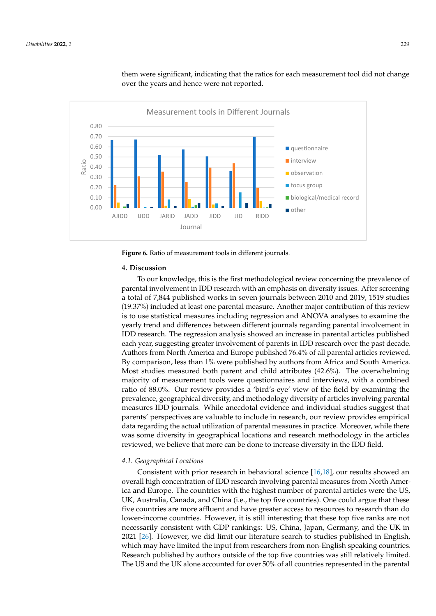

<span id="page-11-0"></span>them were significant, indicating that the ratios for each measurement tool did not change over the years and hence were not reported. of the method them were significant, indicating that the ratios for each measurement tool did not enange

**Figure 6.** Ratio of measurement tools in different journals. **Figure 6.** Ratio of measurement tools in different journals.

#### **4. Discussion 4. Discussion**

To our knowledge, this is the first methodological review concerning the prevalence To our knowledge, this is the first methodological review concerning the prevalence of parental involvement in IDD research with an emphasis on diversity issues. After screening a total of 7,844 published works in seven journals between 2010 and 2019, 1519 studies  $(19.37%)$  included at least one parental measure. Another major contribution of this review (19.37%) included at least one parental measure. Another major contribution of this review<br>is to use statistical measures including regression and ANOVA analyses to examine the yearly trend and differences between different journals regarding parental involvement in IDD research. The regression analysis showed an increase in parental articles published each year, suggesting greater involvement of parents in IDD research over the past decade. Authors from North America and Europe published 76.4% of all parental articles reviewed. By comparison, less than 1% were published by authors from Africa and South America. Most studies measured both parent and child attributes (42.6%). The overwhelming majority of measurement tools were questionnaires and interviews, with a combined ratio of 88.0%. Our review provides a 'bird's-eye' view of the field by examining the prevalence, geographical diversity, and methodology diversity of articles involving parental measures IDD journals. While anecdotal evidence and individual studies suggest that parents' perspectives are valuable to include in research, our review provides empirical data regarding the actual utilization of parental measures in practice. Moreover, while there was some diversity in geographical locations and research methodology in the articles reviewed, we believe that more can be done to increase diversity in the IDD field.

## field. *4.1. Geographical Locations*

Consistent with prior research in behavioral science [\[16,](#page-16-0)[18\]](#page-16-2), our results showed an Ica and Europe. The countries with the highest number of parental articles were the US, For the Europe Concentration of IDD research involving parents in the parents in these were the Ley,<br>UK, Australia, Canada, and China (i.e., the top five countries). One could argue that these five countries are more affluent and have greater access to resources to research than do lower-income countries. However, it is still interesting that these top five ranks are not necessarily consistent with GDP rankings: US, China, Japan, Germany, and the UK in 2021 [\[26\]](#page-16-10). However, we did limit our literature search to studies published in English, which may have limited the input from researchers from non-English speaking countries. Research published by authors outside of the top five countries was still relatively limited. The US and the UK alone accounted for over 50% of all countries represented in the parental overall high concentration of IDD research involving parental measures from North Amer-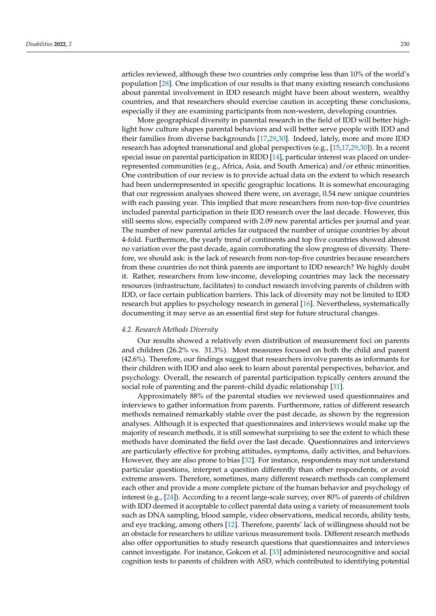articles reviewed, although these two countries only comprise less than 10% of the world's population [\[28\]](#page-16-12). One implication of our results is that many existing research conclusions about parental involvement in IDD research might have been about western, wealthy countries, and that researchers should exercise caution in accepting these conclusions, especially if they are examining participants from non-western, developing countries.

More geographical diversity in parental research in the field of IDD will better highlight how culture shapes parental behaviors and will better serve people with IDD and their families from diverse backgrounds [\[17](#page-16-1)[,29](#page-16-13)[,30\]](#page-16-14). Indeed, lately, more and more IDD research has adopted transnational and global perspectives (e.g., [\[15,](#page-15-14)[17,](#page-16-1)[29,](#page-16-13)[30\]](#page-16-14)). In a recent special issue on parental participation in RIDD [\[14\]](#page-15-13), particular interest was placed on underrepresented communities (e.g., Africa, Asia, and South America) and/or ethnic minorities. One contribution of our review is to provide actual data on the extent to which research had been underrepresented in specific geographic locations. It is somewhat encouraging that our regression analyses showed there were, on average, 0.54 new unique countries with each passing year. This implied that more researchers from non-top-five countries included parental participation in their IDD research over the last decade. However, this still seems slow, especially compared with 2.09 new parental articles per journal and year. The number of new parental articles far outpaced the number of unique countries by about 4-fold. Furthermore, the yearly trend of continents and top five countries showed almost no variation over the past decade, again corroborating the slow progress of diversity. Therefore, we should ask: is the lack of research from non-top-five countries because researchers from these countries do not think parents are important to IDD research? We highly doubt it. Rather, researchers from low-income, developing countries may lack the necessary resources (infrastructure, facilitates) to conduct research involving parents of children with IDD, or face certain publication barriers. This lack of diversity may not be limited to IDD research but applies to psychology research in general [\[16\]](#page-16-0). Nevertheless, systematically documenting it may serve as an essential first step for future structural changes.

#### *4.2. Research Methods Diversity*

Our results showed a relatively even distribution of measurement foci on parents and children (26.2% vs. 31.3%). Most measures focused on both the child and parent (42.6%). Therefore, our findings suggest that researchers involve parents as informants for their children with IDD and also seek to learn about parental perspectives, behavior, and psychology. Overall, the research of parental participation typically centers around the social role of parenting and the parent–child dyadic relationship [\[31\]](#page-16-15).

Approximately 88% of the parental studies we reviewed used questionnaires and interviews to gather information from parents. Furthermore, ratios of different research methods remained remarkably stable over the past decade, as shown by the regression analyses. Although it is expected that questionnaires and interviews would make up the majority of research methods, it is still somewhat surprising to see the extent to which these methods have dominated the field over the last decade. Questionnaires and interviews are particularly effective for probing attitudes, symptoms, daily activities, and behaviors. However, they are also prone to bias [\[32\]](#page-16-16). For instance, respondents may not understand particular questions, interpret a question differently than other respondents, or avoid extreme answers. Therefore, sometimes, many different research methods can complement each other and provide a more complete picture of the human behavior and psychology of interest (e.g., [\[24\]](#page-16-8)). According to a recent large-scale survey, over 80% of parents of children with IDD deemed it acceptable to collect parental data using a variety of measurement tools such as DNA sampling, blood sample, video observations, medical records, ability tests, and eye tracking, among others [\[12\]](#page-15-11). Therefore, parents' lack of willingness should not be an obstacle for researchers to utilize various measurement tools. Different research methods also offer opportunities to study research questions that questionnaires and interviews cannot investigate. For instance, Gokcen et al. [\[33\]](#page-16-17) administered neurocognitive and social cognition tests to parents of children with ASD, which contributed to identifying potential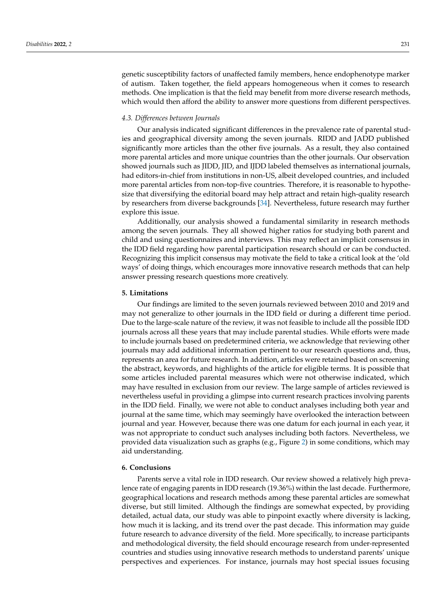genetic susceptibility factors of unaffected family members, hence endophenotype marker of autism. Taken together, the field appears homogeneous when it comes to research methods. One implication is that the field may benefit from more diverse research methods, which would then afford the ability to answer more questions from different perspectives.

#### *4.3. Differences between Journals*

Our analysis indicated significant differences in the prevalence rate of parental studies and geographical diversity among the seven journals. RIDD and JADD published significantly more articles than the other five journals. As a result, they also contained more parental articles and more unique countries than the other journals. Our observation showed journals such as JIDD, JID, and IJDD labeled themselves as international journals, had editors-in-chief from institutions in non-US, albeit developed countries, and included more parental articles from non-top-five countries. Therefore, it is reasonable to hypothesize that diversifying the editorial board may help attract and retain high-quality research by researchers from diverse backgrounds [\[34\]](#page-16-18). Nevertheless, future research may further explore this issue.

Additionally, our analysis showed a fundamental similarity in research methods among the seven journals. They all showed higher ratios for studying both parent and child and using questionnaires and interviews. This may reflect an implicit consensus in the IDD field regarding how parental participation research should or can be conducted. Recognizing this implicit consensus may motivate the field to take a critical look at the 'old ways' of doing things, which encourages more innovative research methods that can help answer pressing research questions more creatively.

#### **5. Limitations**

Our findings are limited to the seven journals reviewed between 2010 and 2019 and may not generalize to other journals in the IDD field or during a different time period. Due to the large-scale nature of the review, it was not feasible to include all the possible IDD journals across all these years that may include parental studies. While efforts were made to include journals based on predetermined criteria, we acknowledge that reviewing other journals may add additional information pertinent to our research questions and, thus, represents an area for future research. In addition, articles were retained based on screening the abstract, keywords, and highlights of the article for eligible terms. It is possible that some articles included parental measures which were not otherwise indicated, which may have resulted in exclusion from our review. The large sample of articles reviewed is nevertheless useful in providing a glimpse into current research practices involving parents in the IDD field. Finally, we were not able to conduct analyses including both year and journal at the same time, which may seemingly have overlooked the interaction between journal and year. However, because there was one datum for each journal in each year, it was not appropriate to conduct such analyses including both factors. Nevertheless, we provided data visualization such as graphs (e.g., Figure [2\)](#page-6-0) in some conditions, which may aid understanding.

#### **6. Conclusions**

Parents serve a vital role in IDD research. Our review showed a relatively high prevalence rate of engaging parents in IDD research (19.36%) within the last decade. Furthermore, geographical locations and research methods among these parental articles are somewhat diverse, but still limited. Although the findings are somewhat expected, by providing detailed, actual data, our study was able to pinpoint exactly where diversity is lacking, how much it is lacking, and its trend over the past decade. This information may guide future research to advance diversity of the field. More specifically, to increase participants and methodological diversity, the field should encourage research from under-represented countries and studies using innovative research methods to understand parents' unique perspectives and experiences. For instance, journals may host special issues focusing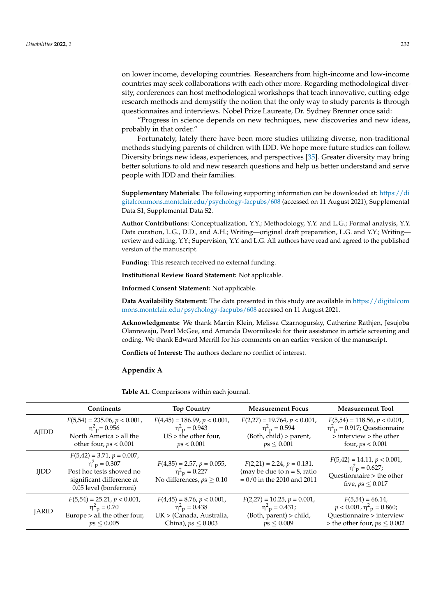on lower income, developing countries. Researchers from high-income and low-income countries may seek collaborations with each other more. Regarding methodological diversity, conferences can host methodological workshops that teach innovative, cutting-edge research methods and demystify the notion that the only way to study parents is through questionnaires and interviews. Nobel Prize Laureate, Dr. Sydney Brenner once said:

"Progress in science depends on new techniques, new discoveries and new ideas, probably in that order."

Fortunately, lately there have been more studies utilizing diverse, non-traditional methods studying parents of children with IDD. We hope more future studies can follow. Diversity brings new ideas, experiences, and perspectives [\[35\]](#page-16-19). Greater diversity may bring better solutions to old and new research questions and help us better understand and serve people with IDD and their families.

**Supplementary Materials:** The following supporting information can be downloaded at: [https://di](https://digitalcommons.montclair.edu/psychology-facpubs/608) [gitalcommons.montclair.edu/psychology-facpubs/608](https://digitalcommons.montclair.edu/psychology-facpubs/608) (accessed on 11 August 2021), Supplemental Data S1, Supplemental Data S2.

**Author Contributions:** Conceptualization, Y.Y.; Methodology, Y.Y. and L.G.; Formal analysis, Y.Y. Data curation, L.G., D.D., and A.H.; Writing—original draft preparation, L.G. and Y.Y.; Writing review and editing, Y.Y.; Supervision, Y.Y. and L.G. All authors have read and agreed to the published version of the manuscript.

**Funding:** This research received no external funding.

**Institutional Review Board Statement:** Not applicable.

**Informed Consent Statement:** Not applicable.

**Data Availability Statement:** The data presented in this study are available in [https://digitalcom](https://digitalcommons.montclair.edu/psychology-facpubs/608) [mons.montclair.edu/psychology-facpubs/608](https://digitalcommons.montclair.edu/psychology-facpubs/608) accessed on 11 August 2021.

**Acknowledgments:** We thank Martin Klein, Melissa Czarnogursky, Catherine Rathjen, Jesujoba Olanrewaju, Pearl McGee, and Amanda Dwornikoski for their assistance in article screening and coding. We thank Edward Merrill for his comments on an earlier version of the manuscript.

**Conflicts of Interest:** The authors declare no conflict of interest.

#### <span id="page-14-0"></span>**Appendix A**

**Table A1.** Comparisons within each journal.

|              | <b>Continents</b>                                                                                                                                 | <b>Top Country</b>                                                                                                   | <b>Measurement Focus</b>                                                                                      | <b>Measurement Tool</b>                                                                                                             |
|--------------|---------------------------------------------------------------------------------------------------------------------------------------------------|----------------------------------------------------------------------------------------------------------------------|---------------------------------------------------------------------------------------------------------------|-------------------------------------------------------------------------------------------------------------------------------------|
| AJIDD        | $F(5,54) = 235.06, p < 0.001,$<br>$\eta^2$ <sub>p</sub> = 0.956<br>North America > all the<br>other four, $ps < 0.001$                            | $F(4,45) = 186.99, p < 0.001,$<br>$\eta^2$ <sub>p</sub> = 0.943<br>$US$ > the other four,<br>ps < 0.001              | $F(2,27) = 19.764, p < 0.001,$<br>$\eta^2$ <sub>p</sub> = 0.594<br>(Both, child) > parent,<br>$ps \leq 0.001$ | $F(5,54) = 118.56, p < 0.001,$<br>$\eta^2$ <sub>p</sub> = 0.917; Questionnaire<br>$>$ interview $>$ the other<br>four, $ps < 0.001$ |
| <b>IIDD</b>  | $F(5,42) = 3.71, p = 0.007,$<br>$\eta^2$ <sub>p</sub> = 0.307<br>Post hoc tests showed no<br>significant difference at<br>0.05 level (bonferroni) | $F(4,35) = 2.57, p = 0.055,$<br>$\eta^2$ <sub>p</sub> = 0.227<br>No differences, $ps \geq 0.10$                      | $F(2,21) = 2.24, p = 0.131.$<br>(may be due to $n = 8$ , ratio<br>$= 0/0$ in the 2010 and 2011                | $F(5,42) = 14.11, p < 0.001,$<br>$\eta^2$ <sub>p</sub> = 0.627;<br>Questionnaire > the other<br>five, $ps \leq 0.017$               |
| <b>JARID</b> | $F(5,54) = 25.21, p < 0.001,$<br>$\eta^2$ <sub>p</sub> = 0.70<br>Europe > all the other four,<br>ps < 0.005                                       | $F(4,45) = 8.76, p < 0.001,$<br>$\eta^2$ <sub>p</sub> = 0.438<br>UK > (Canada, Australia,<br>China), $ps \leq 0.003$ | $F(2,27) = 10.25, p = 0.001,$<br>$\eta^2$ <sub>p</sub> = 0.431;<br>(Both, parent) > child,<br>$ps \leq 0.009$ | $F(5,54) = 66.14$<br>$p < 0.001$ , $\eta^2$ <sub>p</sub> = 0.860;<br>Questionnaire > interview<br>> the other four, $ps \leq 0.002$ |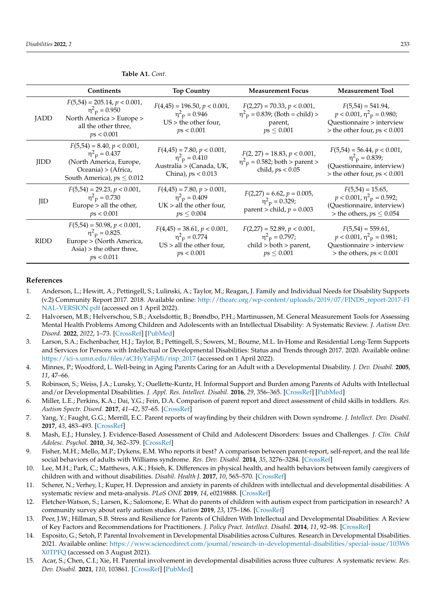|             | Continents                                                                                                                                         | <b>Top Country</b>                                                                                                | <b>Measurement Focus</b>                                                                                       | <b>Measurement Tool</b>                                                                                                               |
|-------------|----------------------------------------------------------------------------------------------------------------------------------------------------|-------------------------------------------------------------------------------------------------------------------|----------------------------------------------------------------------------------------------------------------|---------------------------------------------------------------------------------------------------------------------------------------|
| <b>JADD</b> | $F(5,54) = 205.14, p < 0.001,$<br>$\eta^2$ <sub>p</sub> = 0.950<br>North America > Europe ><br>all the other three,<br>ps < 0.001                  | $F(4,45) = 196.50, p < 0.001,$<br>$\eta^2$ <sub>p</sub> = 0.946<br>$US$ > the other four,<br>ps < 0.001           | $F(2,27) = 70.33, p < 0.001,$<br>$\eta^2$ <sub>p</sub> = 0.839; (Both = child) ><br>parent,<br>$ps \leq 0.001$ | $F(5,54) = 541.94$ ,<br>$p < 0.001$ , $\eta^2$ <sub>p</sub> = 0.980;<br>Questionnaire > interview<br>$>$ the other four, $ps < 0.001$ |
| <b>IIDD</b> | $F(5,54) = 8.40, p < 0.001,$<br>$\eta^2$ <sub>p</sub> = 0.437<br>(North America, Europe,<br>Oceania) > (Africa,<br>South America), $ps \leq 0.012$ | $F(4,45) = 7.80, p < 0.001,$<br>$\eta^2$ <sub>p</sub> = 0.410<br>Australia > (Canada, UK,<br>China), $ps < 0.013$ | $F(2, 27) = 18.83, p < 0.001,$<br>$\eta^2$ <sub>p</sub> = 0.582; both > parent ><br>child, $ps < 0.05$         | $F(5,54) = 56.44, p < 0.001,$<br>$\eta^2$ <sub>p</sub> = 0.839;<br>(Questionnaire, interview)<br>$>$ the other four, $ps < 0.001$     |
| <b>IID</b>  | $F(5,54) = 29.23, p < 0.001,$<br>$\eta^2$ <sub>p</sub> = 0.730<br>Europe > all the other,<br>ps < 0.001                                            | $F(4,45) = 7.80, p > 0.001,$<br>$\eta^2$ <sub>p</sub> = 0.409<br>$UK > all$ the other four,<br>$ps \leq 0.004$    | $F(2,27) = 6.62, p = 0.005,$<br>$\eta^2$ <sub>p</sub> = 0.329;<br>parent > child, $p = 0.003$                  | $F(5,54) = 15.65$ ,<br>$p < 0.001$ , $\eta^2$ <sub>p</sub> = 0.592;<br>(Questionnaire, interview)<br>> the others, $ps \leq 0.054$    |
| <b>RIDD</b> | $F(5,54) = 50.98, p < 0.001,$<br>$\eta^2$ <sub>p</sub> = 0.825.<br>Europe > (North America,<br>$\text{Asia}$ > the other three,<br>ps < 0.011      | $F(4,45) = 38.61, p < 0.001,$<br>$\eta^2$ <sub>p</sub> = 0.774<br>$US >$ all the other four,<br>ps < 0.001        | $F(2,27) = 52.89, p < 0.001,$<br>$\eta^2$ <sub>p</sub> = 0.797;<br>child > both > parent,<br>$ps \leq 0.001$   | $F(5,54) = 559.61$ ,<br>$p < 0.001$ , $\eta^2$ <sub>p</sub> = 0.981;<br>Questionnaire > interview<br>$>$ the others, $ps < 0.001$     |

**Table A1.** *Cont.*

#### **References**

- <span id="page-15-0"></span>1. Anderson, L.; Hewitt, A.; Pettingell, S.; Lulinski, A.; Taylor, M.; Reagan, J. Family and Individual Needs for Disability Supports (v.2) Community Report 2017. 2018. Available online: [http://thearc.org/wp-content/uploads/2019/07/FINDS\\_report-2017-FI](http://thearc.org/wp-content/uploads/2019/07/FINDS_report-2017-FINAL-VERSION.pdf) [NAL-VERSION.pdf](http://thearc.org/wp-content/uploads/2019/07/FINDS_report-2017-FINAL-VERSION.pdf) (accessed on 1 April 2022).
- <span id="page-15-1"></span>2. Halvorsen, M.B.; Helverschou, S.B.; Axelsdottir, B.; Brøndbo, P.H.; Martinussen, M. General Measurement Tools for Assessing Mental Health Problems Among Children and Adolescents with an Intellectual Disability: A Systematic Review. *J. Autism Dev. Disord.* **2022**, *2022*, 1–73. [\[CrossRef\]](http://doi.org/10.1007/s10803-021-05419-5) [\[PubMed\]](http://www.ncbi.nlm.nih.gov/pubmed/35022944)
- <span id="page-15-2"></span>3. Larson, S.A.; Eschenbacher, H.J.; Taylor, B.; Pettingell, S.; Sowers, M.; Bourne, M.L. In-Home and Residential Long-Term Supports and Services for Persons with Intellectual or Developmental Disabilities: Status and Trends through 2017. 2020. Available online: [https://ici-s.umn.edu/files/aCHyYaFjMi/risp\\_2017](https://ici-s.umn.edu/files/aCHyYaFjMi/risp_2017) (accessed on 1 April 2022).
- <span id="page-15-3"></span>4. Minnes, P.; Woodford, L. Well-being in Aging Parents Caring for an Adult with a Developmental Disability. *J. Dev. Disabil.* **2005**, *11*, 47–66.
- <span id="page-15-4"></span>5. Robinson, S.; Weiss, J.A.; Lunsky, Y.; Ouellette-Kuntz, H. Informal Support and Burden among Parents of Adults with Intellectual and/or Developmental Disabilities. *J. Appl. Res. Intellect. Disabil.* **2016**, *29*, 356–365. [\[CrossRef\]](http://doi.org/10.1111/jar.12184) [\[PubMed\]](http://www.ncbi.nlm.nih.gov/pubmed/25877675)
- <span id="page-15-5"></span>6. Miller, L.E.; Perkins, K.A.; Dai, Y.G.; Fein, D.A. Comparison of parent report and direct assessment of child skills in toddlers. *Res. Autism Spectr. Disord.* **2017**, *41–42*, 57–65. [\[CrossRef\]](http://doi.org/10.1016/j.rasd.2017.08.002)
- <span id="page-15-6"></span>7. Yang, Y.; Faught, G.G.; Merrill, E.C. Parent reports of wayfinding by their children with Down syndrome. *J. Intellect. Dev. Disabil.* **2017**, *43*, 483–493. [\[CrossRef\]](http://doi.org/10.3109/13668250.2017.1284309)
- <span id="page-15-7"></span>8. Mash, E.J.; Hunsley, J. Evidence-Based Assessment of Child and Adolescent Disorders: Issues and Challenges. *J. Clin. Child Adolesc. Psychol.* **2010**, *34*, 362–379. [\[CrossRef\]](http://doi.org/10.1207/s15374424jccp3403_1)
- <span id="page-15-8"></span>9. Fisher, M.H.; Mello, M.P.; Dykens, E.M. Who reports it best? A comparison between parent-report, self-report, and the real life social behaviors of adults with Williams syndrome. *Res. Dev. Disabil.* **2014**, *35*, 3276–3284. [\[CrossRef\]](http://doi.org/10.1016/j.ridd.2014.08.011)
- <span id="page-15-9"></span>10. Lee, M.H.; Park, C.; Matthews, A.K.; Hsieh, K. Differences in physical health, and health behaviors between family caregivers of children with and without disabilities. *Disabil. Health J.* **2017**, *10*, 565–570. [\[CrossRef\]](http://doi.org/10.1016/j.dhjo.2017.03.007)
- <span id="page-15-10"></span>11. Scherer, N.; Verhey, I.; Kuper, H. Depression and anxiety in parents of children with intellectual and developmental disabilities: A systematic review and meta-analysis. *PLoS ONE* **2019**, *14*, e0219888. [\[CrossRef\]](http://doi.org/10.1371/journal.pone.0219888)
- <span id="page-15-11"></span>12. Fletcher-Watson, S.; Larsen, K.; Salomone, E. What do parents of children with autism expect from participation in research? A community survey about early autism studies. *Autism* **2019**, *23*, 175–186. [\[CrossRef\]](http://doi.org/10.1177/1362361317728436)
- <span id="page-15-12"></span>13. Peer, J.W.; Hillman, S.B. Stress and Resilience for Parents of Children With Intellectual and Developmental Disabilities: A Review of Key Factors and Recommendations for Practitioners. *J. Policy Pract. Intellect. Disabil.* **2014**, *11*, 92–98. [\[CrossRef\]](http://doi.org/10.1111/jppi.12072)
- <span id="page-15-13"></span>14. Esposito, G.; Setoh, P. Parental Involvement in Developmental Disabilities across Cultures. Research in Developmental Disabilities. 2021. Available online: [https://www.sciencedirect.com/journal/research-in-developmental-disabilities/special-issue/103W6](https://www.sciencedirect.com/journal/research-in-developmental-disabilities/special-issue/103W6X0TPFQ) [X0TPFQ](https://www.sciencedirect.com/journal/research-in-developmental-disabilities/special-issue/103W6X0TPFQ) (accessed on 3 August 2021).
- <span id="page-15-14"></span>15. Acar, S.; Chen, C.I.; Xie, H. Parental involvement in developmental disabilities across three cultures: A systematic review. *Res. Dev. Disabil.* **2021**, *110*, 103861. [\[CrossRef\]](http://doi.org/10.1016/j.ridd.2021.103861) [\[PubMed\]](http://www.ncbi.nlm.nih.gov/pubmed/33482560)